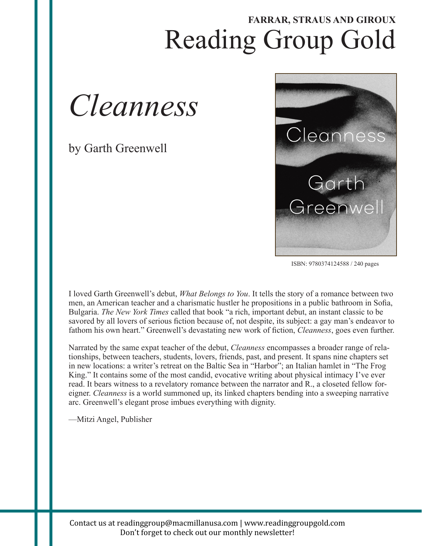## Reading Group Gold **FARRAR, STRAUS AND GIROUX**



by Garth Greenwell



ISBN: 9780374124588 / 240 pages

I loved Garth Greenwell's debut, *What Belongs to You*. It tells the story of a romance between two men, an American teacher and a charismatic hustler he propositions in a public bathroom in Sofia, Bulgaria. *The New York Times* called that book "a rich, important debut, an instant classic to be savored by all lovers of serious fiction because of, not despite, its subject: a gay man's endeavor to fathom his own heart." Greenwell's devastating new work of fiction, *Cleanness*, goes even further.

Narrated by the same expat teacher of the debut, *Cleanness* encompasses a broader range of relationships, between teachers, students, lovers, friends, past, and present. It spans nine chapters set in new locations: a writer's retreat on the Baltic Sea in "Harbor"; an Italian hamlet in "The Frog King." It contains some of the most candid, evocative writing about physical intimacy I've ever read. It bears witness to a revelatory romance between the narrator and R., a closeted fellow foreigner. *Cleanness* is a world summoned up, its linked chapters bending into a sweeping narrative arc. Greenwell's elegant prose imbues everything with dignity.

—Mitzi Angel, Publisher

Contact
us
at
readinggroup@macmillanusa.com
|
www.readinggroupgold.com Don't forget to check out our monthly newsletter!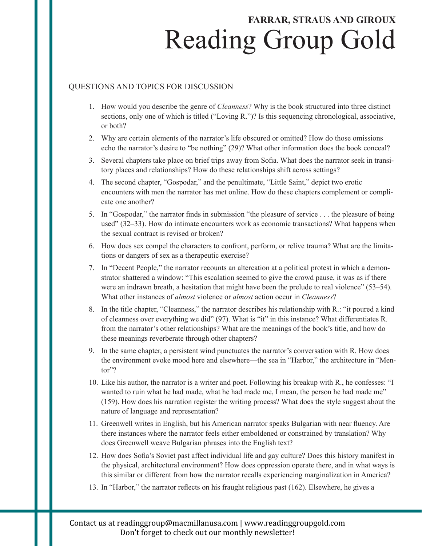# Reading Group Gold **FARRAR, STRAUS AND GIROUX**

### QUESTIONS AND TOPICS FOR DISCUSSION

- 1. How would you describe the genre of *Cleanness*? Why is the book structured into three distinct sections, only one of which is titled ("Loving R.")? Is this sequencing chronological, associative, or both?
- 2. Why are certain elements of the narrator's life obscured or omitted? How do those omissions echo the narrator's desire to "be nothing" (29)? What other information does the book conceal?
- 3. Several chapters take place on brief trips away from Sofia. What does the narrator seek in transitory places and relationships? How do these relationships shift across settings?
- 4. The second chapter, "Gospodar," and the penultimate, "Little Saint," depict two erotic encounters with men the narrator has met online. How do these chapters complement or complicate one another?
- 5. In "Gospodar," the narrator finds in submission "the pleasure of service . . . the pleasure of being used" (32–33). How do intimate encounters work as economic transactions? What happens when the sexual contract is revised or broken?
- 6. How does sex compel the characters to confront, perform, or relive trauma? What are the limitations or dangers of sex as a therapeutic exercise?
- 7. In "Decent People," the narrator recounts an altercation at a political protest in which a demonstrator shattered a window: "This escalation seemed to give the crowd pause, it was as if there were an indrawn breath, a hesitation that might have been the prelude to real violence" (53–54). What other instances of *almost* violence or *almost* action occur in *Cleanness*?
- 8. In the title chapter, "Cleanness," the narrator describes his relationship with R.: "it poured a kind of cleanness over everything we did" (97). What is "it" in this instance? What differentiates R. from the narrator's other relationships? What are the meanings of the book's title, and how do these meanings reverberate through other chapters?
- 9. In the same chapter, a persistent wind punctuates the narrator's conversation with R. How does the environment evoke mood here and elsewhere—the sea in "Harbor," the architecture in "Mentor"?
- 10. Like his author, the narrator is a writer and poet. Following his breakup with R., he confesses: "I wanted to ruin what he had made, what he had made me, I mean, the person he had made me" (159). How does his narration register the writing process? What does the style suggest about the nature of language and representation?
- 11. Greenwell writes in English, but his American narrator speaks Bulgarian with near fluency. Are there instances where the narrator feels either emboldened or constrained by translation? Why does Greenwell weave Bulgarian phrases into the English text?
- 12. How does Sofia's Soviet past affect individual life and gay culture? Does this history manifest in the physical, architectural environment? How does oppression operate there, and in what ways is this similar or different from how the narrator recalls experiencing marginalization in America?
- 13. In "Harbor," the narrator reflects on his fraught religious past (162). Elsewhere, he gives a

Contact
us
at
readinggroup@macmillanusa.com
|
www.readinggroupgold.com Don't forget to check out our monthly newsletter!